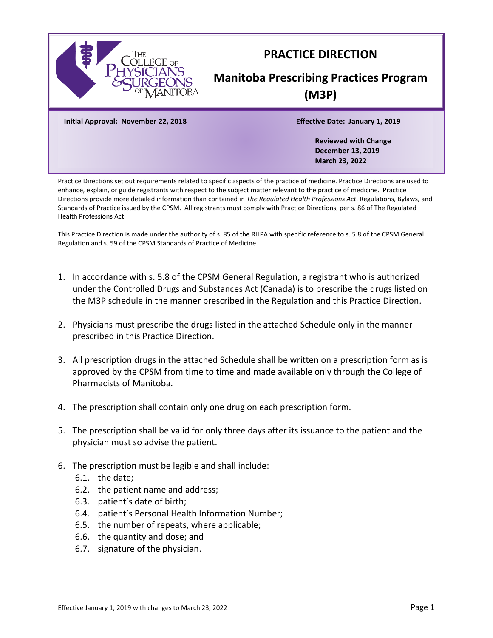

# **PRACTICE DIRECTION**

# **Manitoba Prescribing Practices Program (M3P)**

**Initial Approval: November 22, 2018 Effective Date: January 1, 2019**

**Reviewed with Change December 13, 2019 March 23, 2022**

Practice Directions set out requirements related to specific aspects of the practice of medicine. Practice Directions are used to enhance, explain, or guide registrants with respect to the subject matter relevant to the practice of medicine. Practice Directions provide more detailed information than contained in *The Regulated Health Professions Act*, Regulations, Bylaws, and Standards of Practice issued by the CPSM. All registrants must comply with Practice Directions, per s. 86 of The Regulated Health Professions Act.

This Practice Direction is made under the authority of s. 85 of the RHPA with specific reference to s. 5.8 of the CPSM General Regulation and s. 59 of the CPSM Standards of Practice of Medicine.

- 1. In accordance with s. 5.8 of the CPSM General Regulation, a registrant who is authorized under the Controlled Drugs and Substances Act (Canada) is to prescribe the drugs listed on the M3P schedule in the manner prescribed in the Regulation and this Practice Direction.
- 2. Physicians must prescribe the drugs listed in the attached Schedule only in the manner prescribed in this Practice Direction.
- 3. All prescription drugs in the attached Schedule shall be written on a prescription form as is approved by the CPSM from time to time and made available only through the College of Pharmacists of Manitoba.
- 4. The prescription shall contain only one drug on each prescription form.
- 5. The prescription shall be valid for only three days after its issuance to the patient and the physician must so advise the patient.
- 6. The prescription must be legible and shall include:
	- 6.1. the date;
	- 6.2. the patient name and address;
	- 6.3. patient's date of birth;
	- 6.4. patient's Personal Health Information Number;
	- 6.5. the number of repeats, where applicable;
	- 6.6. the quantity and dose; and
	- 6.7. signature of the physician.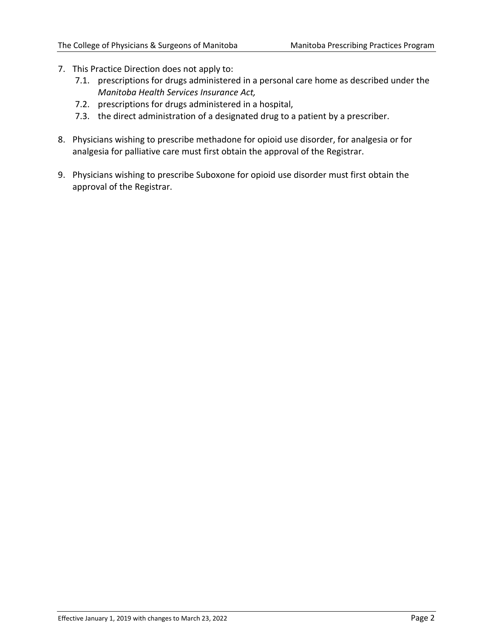- 7. This Practice Direction does not apply to:
	- 7.1. prescriptions for drugs administered in a personal care home as described under the *Manitoba Health Services Insurance Act,*
	- 7.2. prescriptions for drugs administered in a hospital,
	- 7.3. the direct administration of a designated drug to a patient by a prescriber.
- 8. Physicians wishing to prescribe methadone for opioid use disorder, for analgesia or for analgesia for palliative care must first obtain the approval of the Registrar.
- 9. Physicians wishing to prescribe Suboxone for opioid use disorder must first obtain the approval of the Registrar.